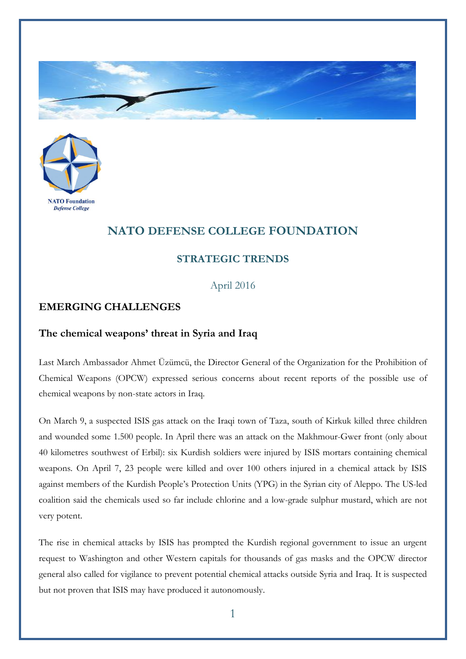



## **NATO DEFENSE COLLEGE FOUNDATION**

## **STRATEGIC TRENDS**

April 2016

## **EMERGING CHALLENGES**

## **The chemical weapons' threat in Syria and Iraq**

Last March Ambassador Ahmet Üzümcü, the Director General of the Organization for the Prohibition of Chemical Weapons (OPCW) expressed serious concerns about recent reports of the possible use of chemical weapons by non-state actors in Iraq.

On March 9, a suspected ISIS gas attack on the Iraqi town of Taza, south of Kirkuk killed three children and wounded some 1.500 people. In April there was an attack on the Makhmour-Gwer front (only about 40 kilometres southwest of Erbil): six Kurdish soldiers were injured by ISIS mortars containing chemical weapons. On April 7, 23 people were killed and over 100 others injured in a chemical attack by ISIS against members of the Kurdish People's Protection Units (YPG) in the Syrian city of Aleppo. The US-led coalition said the chemicals used so far include chlorine and a low-grade sulphur mustard, which are not very potent.

The rise in chemical attacks by ISIS has prompted the Kurdish regional government to issue an urgent request to Washington and other Western capitals for thousands of gas masks and the OPCW director general also called for vigilance to prevent potential chemical attacks outside Syria and Iraq. It is suspected but not proven that ISIS may have produced it autonomously.